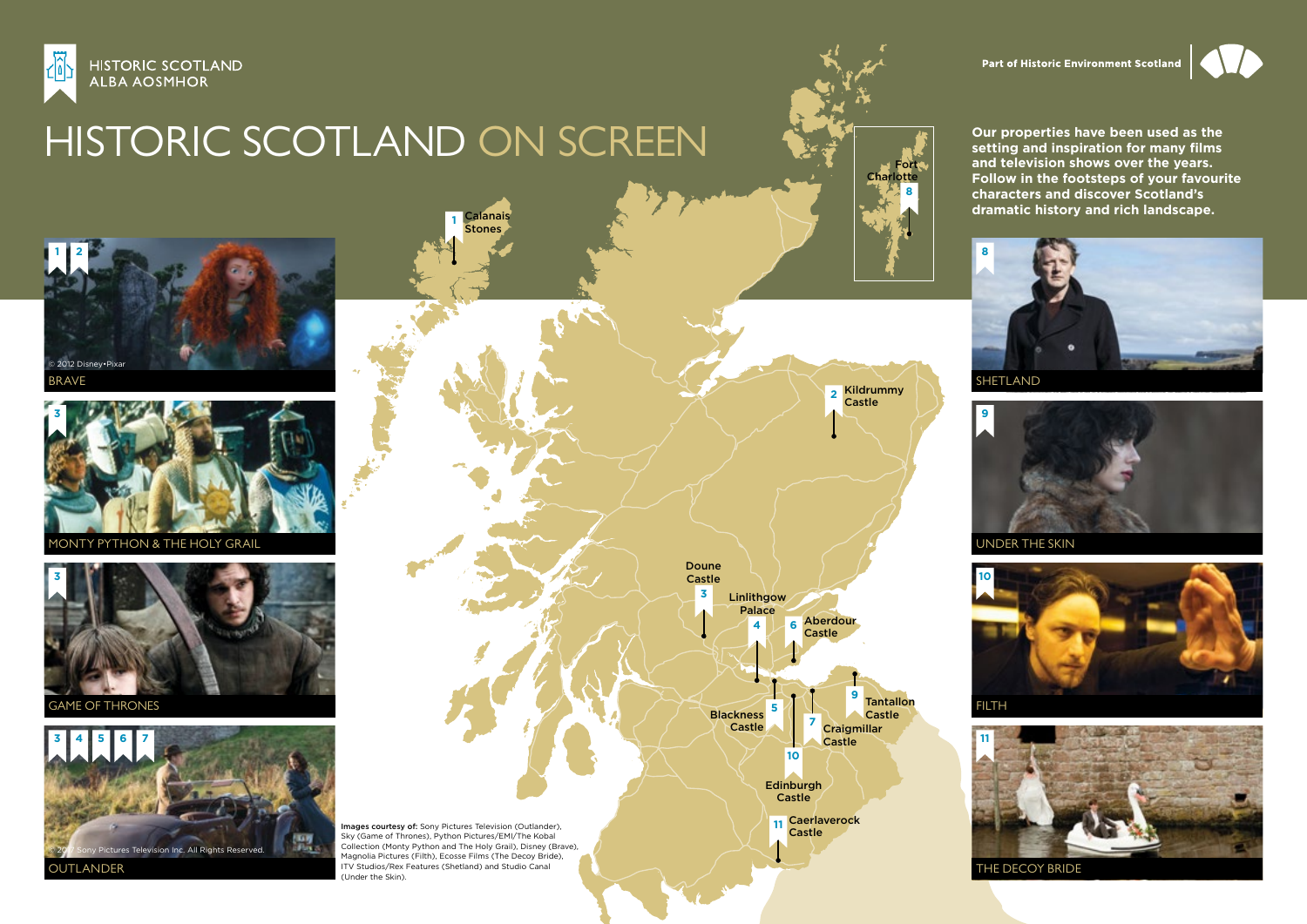

## HISTORIC SCOTLAND ON SCREEN

**1** [Calanais](https://www.historicenvironment.scot/visit-a-place/places/calanais-standing-stones/?utm_source=HS%20on%20Screen%20map&utm_medium=PDF%20download&utm_campaign=HS%20on%20Screen%202018&utm_content=HS%20on%20Screen)  Stones



**2** [Kildrummy](https://www.historicenvironment.scot/visit-a-place/places/kildrummy-castle/?utm_source=HS%20on%20Screen%20map&utm_medium=PDF%20download&utm_campaign=HS%20on%20Screen%202018&utm_content=HS%20on%20Screen)  Castle

**3** [Doune](https://www.historicenvironment.scot/visit-a-place/places/doune-castle/?utm_source=HS%20on%20Screen%20map&utm_medium=PDF%20download&utm_campaign=HS%20on%20Screen%202018&utm_content=HS%20on%20Screen) Castle

**4** [Linlithgow](https://www.historicenvironment.scot/visit-a-place/places/linlithgow-palace/?utm_source=HS%20on%20Screen%20map&utm_medium=PDF%20download&utm_campaign=HS%20on%20Screen%202018&utm_content=HS%20on%20Screen) Palace

> **10 [Edinburgh](https://www.historicenvironment.scot/visit-a-place/places/edinburgh-castle/?utm_source=HS%20on%20Screen%20map&utm_medium=PDF%20download&utm_campaign=HS%20on%20Screen%202018&utm_content=HS%20on%20Screen) Castle**

**11** [Caerlaverock](https://www.historicenvironment.scot/visit-a-place/places/caerlaverock-castle) Castle

**6** [Aberdour](https://www.historicenvironment.scot/visit-a-place/places/aberdour-castle-and-gardens/?utm_source=HS%20on%20Screen%20map&utm_medium=PDF%20download&utm_campaign=HS%20on%20Screen%202018&utm_content=HS%20on%20Screen) Castle

> **<sup>7</sup>** [Craigmillar](https://www.historicenvironment.scot/visit-a-place/places/craigmillar-castle/?utm_source=HS%20on%20Screen%20map&utm_medium=PDF%20download&utm_campaign=HS%20on%20Screen%202018&utm_content=HS%20on%20Screen) Castle

**<sup>9</sup>** [Tantallon](https://www.historicenvironment.scot/visit-a-place/places/tantallon-castle/?utm_source=HS%20on%20Screen%20map&utm_medium=PDF%20download&utm_campaign=HS%20on%20Screen%202018&utm_content=HS%20on%20Screen) Castle

**<sup>5</sup>** [Blackness](https://www.historicenvironment.scot/visit-a-place/places/blackness-castle/?utm_source=HS%20on%20Screen%20map&utm_medium=PDF%20download&utm_campaign=HS%20on%20Screen%202018&utm_content=HS%20on%20Screen)  Castle

**Our properties have been used as the setting and inspiration for many films and television shows over the years. Follow in the footsteps of your favourite characters and discover Scotland's dramatic history and rich landscape.**

Part of Historic Environment Scotland





UNDER THE SKIN





THE DECOY BRIDE



BRAVE



PYTHON & THE HOLY GRAIL



GAME OF THRONES



Images courtesy of: Sony Pictures Television (Outlander), Sky (Game of Thrones), Python Pictures/EMI/The Kobal Collection (Monty Python and The Holy Grail), Disney (Brave), Magnolia Pictures (Filth), Ecosse Films (The Decoy Bride), ITV Studios/Rex Features (Shetland) and Studio Canal (Under the Skin).